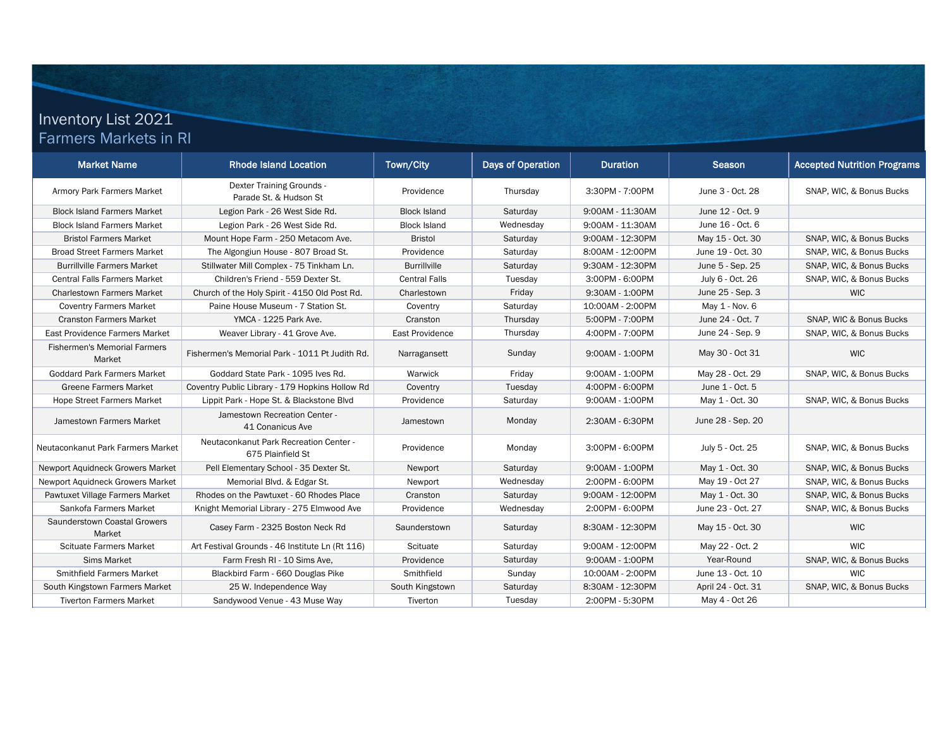## Inventory List 2021 Farmers Markets in RI

| <b>Market Name</b>                            | <b>Rhode Island Location</b>                                | Town/City            | Days of Operation | <b>Duration</b>  | Season             | <b>Accepted Nutrition Programs</b> |
|-----------------------------------------------|-------------------------------------------------------------|----------------------|-------------------|------------------|--------------------|------------------------------------|
| Armory Park Farmers Market                    | Dexter Training Grounds -<br>Parade St. & Hudson St         | Providence           | Thursday          | 3:30PM - 7:00PM  | June 3 - Oct. 28   | SNAP, WIC, & Bonus Bucks           |
| <b>Block Island Farmers Market</b>            | Legion Park - 26 West Side Rd.                              | <b>Block Island</b>  | Saturday          | 9:00AM - 11:30AM | June 12 - Oct. 9   |                                    |
| <b>Block Island Farmers Market</b>            | Legion Park - 26 West Side Rd.                              | <b>Block Island</b>  | Wednesday         | 9:00AM - 11:30AM | June 16 - Oct. 6   |                                    |
| <b>Bristol Farmers Market</b>                 | Mount Hope Farm - 250 Metacom Ave.                          | <b>Bristol</b>       | Saturday          | 9:00AM - 12:30PM | May 15 - Oct. 30   | SNAP, WIC, & Bonus Bucks           |
| <b>Broad Street Farmers Market</b>            | The Algongiun House - 807 Broad St.                         | Providence           | Saturday          | 8:00AM - 12:00PM | June 19 - Oct. 30  | SNAP, WIC, & Bonus Bucks           |
| <b>Burrillville Farmers Market</b>            | Stillwater Mill Complex - 75 Tinkham Ln.                    | <b>Burrillville</b>  | Saturday          | 9:30AM - 12:30PM | June 5 - Sep. 25   | SNAP, WIC, & Bonus Bucks           |
| <b>Central Falls Farmers Market</b>           | Children's Friend - 559 Dexter St.                          | <b>Central Falls</b> | Tuesday           | 3:00PM - 6:00PM  | July 6 - Oct. 26   | SNAP, WIC, & Bonus Bucks           |
| <b>Charlestown Farmers Market</b>             | Church of the Holy Spirit - 4150 Old Post Rd.               | Charlestown          | Friday            | 9:30AM - 1:00PM  | June 25 - Sep. 3   | <b>WIC</b>                         |
| <b>Coventry Farmers Market</b>                | Paine House Museum - 7 Station St.                          | Coventry             | Saturday          | 10:00AM - 2:00PM | May 1 - Nov. 6     |                                    |
| <b>Cranston Farmers Market</b>                | YMCA - 1225 Park Ave.                                       | Cranston             | Thursday          | 5:00PM - 7:00PM  | June 24 - Oct. 7   | SNAP, WIC & Bonus Bucks            |
| East Providence Farmers Market                | Weaver Library - 41 Grove Ave.                              | East Providence      | Thursday          | 4:00PM - 7:00PM  | June 24 - Sep. 9   | SNAP, WIC, & Bonus Bucks           |
| <b>Fishermen's Memorial Farmers</b><br>Market | Fishermen's Memorial Park - 1011 Pt Judith Rd.              | Narragansett         | Sunday            | 9:00AM - 1:00PM  | May 30 - Oct 31    | <b>WIC</b>                         |
| Goddard Park Farmers Market                   | Goddard State Park - 1095 Ives Rd.                          | Warwick              | Friday            | 9:00AM - 1:00PM  | May 28 - Oct. 29   | SNAP, WIC, & Bonus Bucks           |
| <b>Greene Farmers Market</b>                  | Coventry Public Library - 179 Hopkins Hollow Rd             | Coventry             | Tuesday           | 4:00PM - 6:00PM  | June 1 - Oct. 5    |                                    |
| Hope Street Farmers Market                    | Lippit Park - Hope St. & Blackstone Blvd                    | Providence           | Saturday          | 9:00AM - 1:00PM  | May 1 - Oct. 30    | SNAP, WIC, & Bonus Bucks           |
| Jamestown Farmers Market                      | Jamestown Recreation Center -<br>41 Conanicus Ave           | Jamestown            | Monday            | 2:30AM - 6:30PM  | June 28 - Sep. 20  |                                    |
| Neutaconkanut Park Farmers Market             | Neutaconkanut Park Recreation Center -<br>675 Plainfield St | Providence           | Monday            | 3:00PM - 6:00PM  | July 5 - Oct. 25   | SNAP, WIC, & Bonus Bucks           |
| Newport Aquidneck Growers Market              | Pell Elementary School - 35 Dexter St.                      | Newport              | Saturday          | 9:00AM - 1:00PM  | May 1 - Oct. 30    | SNAP, WIC, & Bonus Bucks           |
| Newport Aquidneck Growers Market              | Memorial Blvd. & Edgar St.                                  | Newport              | Wednesday         | 2:00PM - 6:00PM  | May 19 - Oct 27    | SNAP, WIC, & Bonus Bucks           |
| Pawtuxet Village Farmers Market               | Rhodes on the Pawtuxet - 60 Rhodes Place                    | Cranston             | Saturday          | 9:00AM - 12:00PM | May 1 - Oct. 30    | SNAP, WIC, & Bonus Bucks           |
| Sankofa Farmers Market                        | Knight Memorial Library - 275 Elmwood Ave                   | Providence           | Wednesday         | 2:00PM - 6:00PM  | June 23 - Oct. 27  | SNAP, WIC. & Bonus Bucks           |
| Saunderstown Coastal Growers<br>Market        | Casey Farm - 2325 Boston Neck Rd                            | Saunderstown         | Saturday          | 8:30AM - 12:30PM | May 15 - Oct. 30   | <b>WIC</b>                         |
| <b>Scituate Farmers Market</b>                | Art Festival Grounds - 46 Institute Ln (Rt 116)             | Scituate             | Saturday          | 9:00AM - 12:00PM | May 22 - Oct. 2    | <b>WIC</b>                         |
| <b>Sims Market</b>                            | Farm Fresh RI - 10 Sims Ave.                                | Providence           | Saturday          | 9:00AM - 1:00PM  | Year-Round         | SNAP, WIC, & Bonus Bucks           |
| <b>Smithfield Farmers Market</b>              | Blackbird Farm - 660 Douglas Pike                           | Smithfield           | Sunday            | 10:00AM - 2:00PM | June 13 - Oct. 10  | <b>WIC</b>                         |
| South Kingstown Farmers Market                | 25 W. Independence Way                                      | South Kingstown      | Saturday          | 8:30AM - 12:30PM | April 24 - Oct. 31 | SNAP, WIC, & Bonus Bucks           |
| <b>Tiverton Farmers Market</b>                | Sandywood Venue - 43 Muse Way                               | Tiverton             | Tuesday           | 2:00PM - 5:30PM  | May 4 - Oct 26     |                                    |